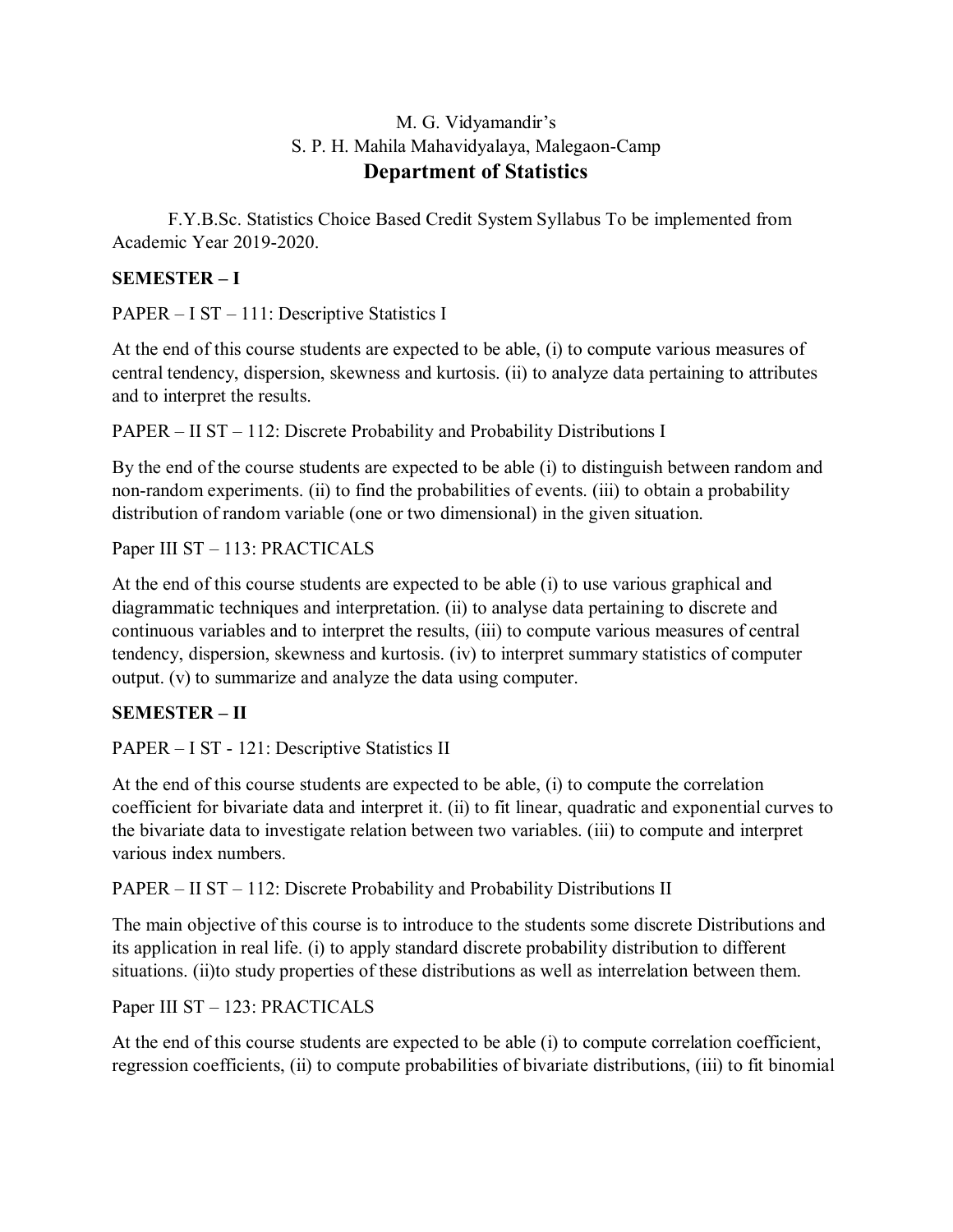#### M. G. Vidyamandir's S. P. H. Mahila Mahavidyalaya, Malegaon-Camp **Department of Statistics**

F.Y.B.Sc. Statistics Choice Based Credit System Syllabus To be implemented from Academic Year 2019-2020.

#### **SEMESTER – I**

PAPER – I ST – 111: Descriptive Statistics I

At the end of this course students are expected to be able, (i) to compute various measures of central tendency, dispersion, skewness and kurtosis. (ii) to analyze data pertaining to attributes and to interpret the results.

PAPER – II ST – 112: Discrete Probability and Probability Distributions I

By the end of the course students are expected to be able (i) to distinguish between random and non-random experiments. (ii) to find the probabilities of events. (iii) to obtain a probability distribution of random variable (one or two dimensional) in the given situation.

Paper III ST – 113: PRACTICALS

At the end of this course students are expected to be able (i) to use various graphical and diagrammatic techniques and interpretation. (ii) to analyse data pertaining to discrete and continuous variables and to interpret the results, (iii) to compute various measures of central tendency, dispersion, skewness and kurtosis. (iv) to interpret summary statistics of computer output. (v) to summarize and analyze the data using computer.

#### **SEMESTER – II**

PAPER – I ST - 121: Descriptive Statistics II

At the end of this course students are expected to be able, (i) to compute the correlation coefficient for bivariate data and interpret it. (ii) to fit linear, quadratic and exponential curves to the bivariate data to investigate relation between two variables. (iii) to compute and interpret various index numbers.

PAPER – II ST – 112: Discrete Probability and Probability Distributions II

The main objective of this course is to introduce to the students some discrete Distributions and its application in real life. (i) to apply standard discrete probability distribution to different situations. (ii)to study properties of these distributions as well as interrelation between them.

Paper III ST – 123: PRACTICALS

At the end of this course students are expected to be able (i) to compute correlation coefficient, regression coefficients, (ii) to compute probabilities of bivariate distributions, (iii) to fit binomial